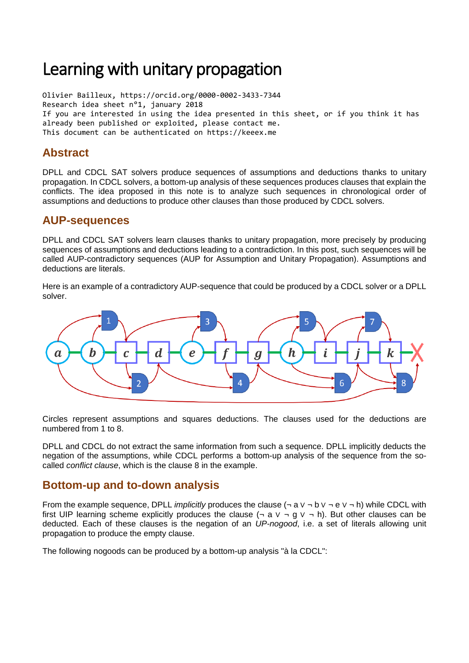# Learning with unitary propagation

Olivier Bailleux, https://orcid.org/0000-0002-3433-7344 Research idea sheet n°1, january 2018 If you are interested in using the idea presented in this sheet, or if you think it has already been published or exploited, please contact me. This document can be authenticated on https://keeex.me

## **Abstract**

DPLL and CDCL SAT solvers produce sequences of assumptions and deductions thanks to unitary propagation. In CDCL solvers, a bottom-up analysis of these sequences produces clauses that explain the conflicts. The idea proposed in this note is to analyze such sequences in chronological order of assumptions and deductions to produce other clauses than those produced by CDCL solvers.

### **AUP-sequences**

DPLL and CDCL SAT solvers learn clauses thanks to unitary propagation, more precisely by producing sequences of assumptions and deductions leading to a contradiction. In this post, such sequences will be called AUP-contradictory sequences (AUP for Assumption and Unitary Propagation). Assumptions and deductions are literals.

Here is an example of a contradictory AUP-sequence that could be produced by a CDCL solver or a DPLL solver.



Circles represent assumptions and squares deductions. The clauses used for the deductions are numbered from 1 to 8.

DPLL and CDCL do not extract the same information from such a sequence. DPLL implicitly deducts the negation of the assumptions, while CDCL performs a bottom-up analysis of the sequence from the socalled *conflict clause*, which is the clause 8 in the example.

#### **Bottom-up and to-down analysis**

From the example sequence, DPLL *implicitly* produces the clause (¬ a ∨ ¬ b ∨ ¬ e ∨ ¬ h) while CDCL with first UIP learning scheme explicitly produces the clause  $(¬ a ∨ ¬ q ∨ ¬ h)$ . But other clauses can be deducted. Each of these clauses is the negation of an *UP-nogood*, i.e. a set of literals allowing unit propagation to produce the empty clause.

The following nogoods can be produced by a bottom-up analysis "à la CDCL":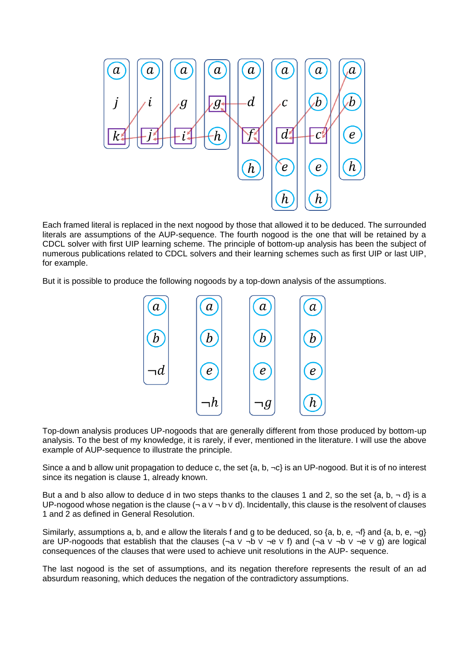

Each framed literal is replaced in the next nogood by those that allowed it to be deduced. The surrounded literals are assumptions of the AUP-sequence. The fourth nogood is the one that will be retained by a CDCL solver with first UIP learning scheme. The principle of bottom-up analysis has been the subject of numerous publications related to CDCL solvers and their learning schemes such as first UIP or last UIP, for example.

But it is possible to produce the following nogoods by a top-down analysis of the assumptions.



Top-down analysis produces UP-nogoods that are generally different from those produced by bottom-up analysis. To the best of my knowledge, it is rarely, if ever, mentioned in the literature. I will use the above example of AUP-sequence to illustrate the principle.

Since a and b allow unit propagation to deduce c, the set  $\{a, b, \neg c\}$  is an UP-nogood. But it is of no interest since its negation is clause 1, already known.

But a and b also allow to deduce d in two steps thanks to the clauses 1 and 2, so the set  $\{a, b, \neg d\}$  is a UP-nogood whose negation is the clause  $(\neg a \lor \neg b \lor d)$ . Incidentally, this clause is the resolvent of clauses 1 and 2 as defined in General Resolution.

Similarly, assumptions a, b, and e allow the literals f and g to be deduced, so {a, b, e,  $\neg f$ } and {a, b, e,  $\neg g$ } are UP-nogoods that establish that the clauses (¬a ∨ ¬b ∨ ¬e ∨ f) and (¬a ∨ ¬b ∨ ¬e ∨ g) are logical consequences of the clauses that were used to achieve unit resolutions in the AUP- sequence.

The last nogood is the set of assumptions, and its negation therefore represents the result of an ad absurdum reasoning, which deduces the negation of the contradictory assumptions.